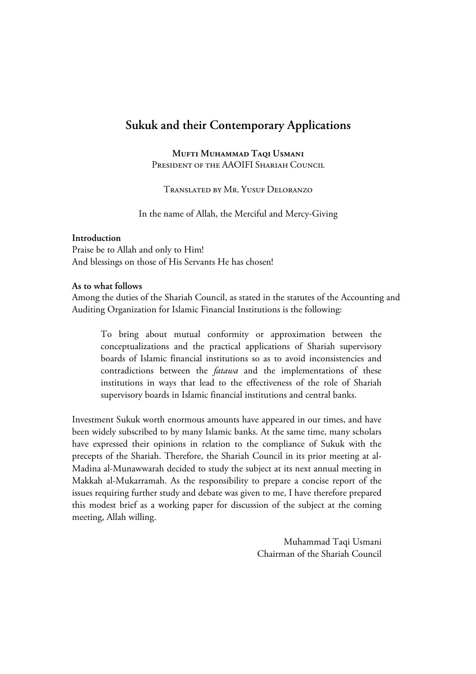# **Sukuk and their Contemporary Applications**

**MUFTI MUHAMMAD TAQI USMANI** PRESIDENT OF THE AAOIFI SHARIAH COUNCIL

TRANSLATED BY MR. YUSUE DELORANZO

In the name of Allah, the Merciful and Mercy-Giving

#### **Introduction**

Praise be to Allah and only to Him! And blessings on those of His Servants He has chosen!

#### **As to what follows**

Among the duties of the Shariah Council, as stated in the statutes of the Accounting and Auditing Organization for Islamic Financial Institutions is the following:

To bring about mutual conformity or approximation between the conceptualizations and the practical applications of Shariah supervisory boards of Islamic financial institutions so as to avoid inconsistencies and contradictions between the *fatawa* and the implementations of these institutions in ways that lead to the effectiveness of the role of Shariah supervisory boards in Islamic financial institutions and central banks.

Investment Sukuk worth enormous amounts have appeared in our times, and have been widely subscribed to by many Islamic banks. At the same time, many scholars have expressed their opinions in relation to the compliance of Sukuk with the precepts of the Shariah. Therefore, the Shariah Council in its prior meeting at al-Madina al-Munawwarah decided to study the subject at its next annual meeting in Makkah al-Mukarramah. As the responsibility to prepare a concise report of the issues requiring further study and debate was given to me, I have therefore prepared this modest brief as a working paper for discussion of the subject at the coming meeting, Allah willing.

> Muhammad Taqi Usmani Chairman of the Shariah Council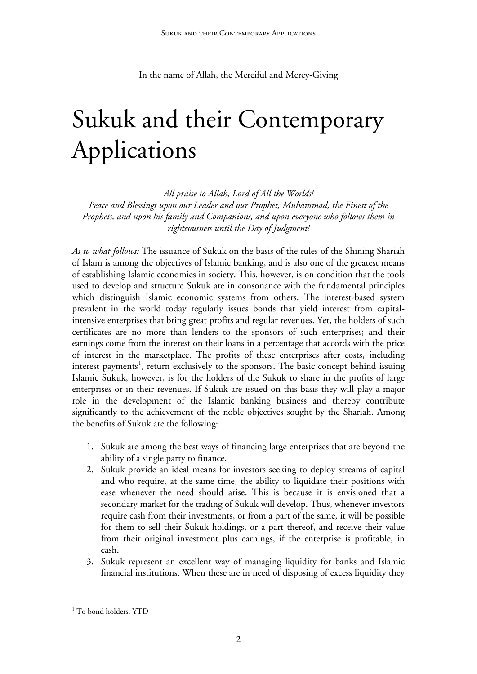In the name of Allah, the Merciful and Mercy-Giving

# Sukuk and their Contemporary Applications

*All praise to Allah, Lord of All the Worlds!* 

*Peace and Blessings upon our Leader and our Prophet, Muhammad, the Finest of the Prophets, and upon his family and Companions, and upon everyone who follows them in righteousness until the Day of Judgment!* 

*As to what follows:* The issuance of Sukuk on the basis of the rules of the Shining Shariah of Islam is among the objectives of Islamic banking, and is also one of the greatest means of establishing Islamic economies in society. This, however, is on condition that the tools used to develop and structure Sukuk are in consonance with the fundamental principles which distinguish Islamic economic systems from others. The interest-based system prevalent in the world today regularly issues bonds that yield interest from capitalintensive enterprises that bring great profits and regular revenues. Yet, the holders of such certificates are no more than lenders to the sponsors of such enterprises; and their earnings come from the interest on their loans in a percentage that accords with the price of interest in the marketplace. The profits of these enterprises after costs, including interest payments<sup>[1](#page-1-0)</sup>, return exclusively to the sponsors. The basic concept behind issuing Islamic Sukuk, however, is for the holders of the Sukuk to share in the profits of large enterprises or in their revenues. If Sukuk are issued on this basis they will play a major role in the development of the Islamic banking business and thereby contribute significantly to the achievement of the noble objectives sought by the Shariah. Among the benefits of Sukuk are the following:

- 1. Sukuk are among the best ways of financing large enterprises that are beyond the ability of a single party to finance.
- 2. Sukuk provide an ideal means for investors seeking to deploy streams of capital and who require, at the same time, the ability to liquidate their positions with ease whenever the need should arise. This is because it is envisioned that a secondary market for the trading of Sukuk will develop. Thus, whenever investors require cash from their investments, or from a part of the same, it will be possible for them to sell their Sukuk holdings, or a part thereof, and receive their value from their original investment plus earnings, if the enterprise is profitable, in cash.
- 3. Sukuk represent an excellent way of managing liquidity for banks and Islamic financial institutions. When these are in need of disposing of excess liquidity they

<span id="page-1-0"></span><sup>&</sup>lt;sup>1</sup> To bond holders. YTD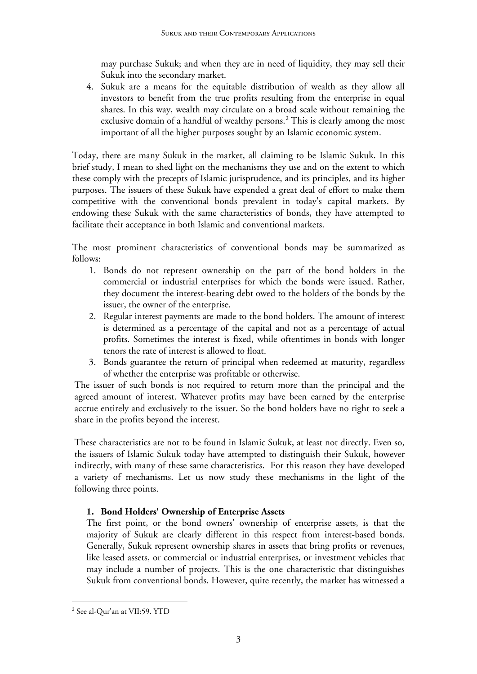may purchase Sukuk; and when they are in need of liquidity, they may sell their Sukuk into the secondary market.

4. Sukuk are a means for the equitable distribution of wealth as they allow all investors to benefit from the true profits resulting from the enterprise in equal shares. In this way, wealth may circulate on a broad scale without remaining the exclusive domain of a handful of wealthy persons.<sup>[2](#page-2-0)</sup> This is clearly among the most important of all the higher purposes sought by an Islamic economic system.

Today, there are many Sukuk in the market, all claiming to be Islamic Sukuk. In this brief study, I mean to shed light on the mechanisms they use and on the extent to which these comply with the precepts of Islamic jurisprudence, and its principles, and its higher purposes. The issuers of these Sukuk have expended a great deal of effort to make them competitive with the conventional bonds prevalent in today's capital markets. By endowing these Sukuk with the same characteristics of bonds, they have attempted to facilitate their acceptance in both Islamic and conventional markets.

The most prominent characteristics of conventional bonds may be summarized as follows:

- 1. Bonds do not represent ownership on the part of the bond holders in the commercial or industrial enterprises for which the bonds were issued. Rather, they document the interest-bearing debt owed to the holders of the bonds by the issuer, the owner of the enterprise.
- 2. Regular interest payments are made to the bond holders. The amount of interest is determined as a percentage of the capital and not as a percentage of actual profits. Sometimes the interest is fixed, while oftentimes in bonds with longer tenors the rate of interest is allowed to float.
- 3. Bonds guarantee the return of principal when redeemed at maturity, regardless of whether the enterprise was profitable or otherwise.

The issuer of such bonds is not required to return more than the principal and the agreed amount of interest. Whatever profits may have been earned by the enterprise accrue entirely and exclusively to the issuer. So the bond holders have no right to seek a share in the profits beyond the interest.

These characteristics are not to be found in Islamic Sukuk, at least not directly. Even so, the issuers of Islamic Sukuk today have attempted to distinguish their Sukuk, however indirectly, with many of these same characteristics. For this reason they have developed a variety of mechanisms. Let us now study these mechanisms in the light of the following three points.

# **1. Bond Holders' Ownership of Enterprise Assets**

The first point, or the bond owners' ownership of enterprise assets, is that the majority of Sukuk are clearly different in this respect from interest-based bonds. Generally, Sukuk represent ownership shares in assets that bring profits or revenues, like leased assets, or commercial or industrial enterprises, or investment vehicles that may include a number of projects. This is the one characteristic that distinguishes Sukuk from conventional bonds. However, quite recently, the market has witnessed a

<span id="page-2-0"></span><sup>&</sup>lt;u>.</u> 2 See al-Qur'an at VII:59. YTD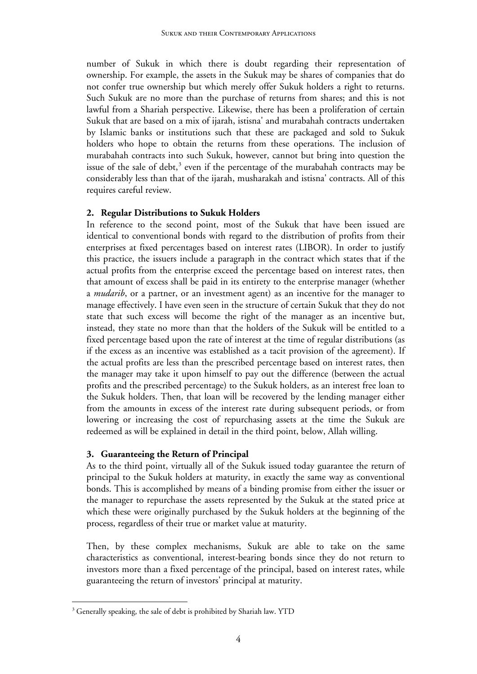number of Sukuk in which there is doubt regarding their representation of ownership. For example, the assets in the Sukuk may be shares of companies that do not confer true ownership but which merely offer Sukuk holders a right to returns. Such Sukuk are no more than the purchase of returns from shares; and this is not lawful from a Shariah perspective. Likewise, there has been a proliferation of certain Sukuk that are based on a mix of ijarah, istisna' and murabahah contracts undertaken by Islamic banks or institutions such that these are packaged and sold to Sukuk holders who hope to obtain the returns from these operations. The inclusion of murabahah contracts into such Sukuk, however, cannot but bring into question the issue of the sale of debt, $3$  even if the percentage of the murabahah contracts may be considerably less than that of the ijarah, musharakah and istisna' contracts. All of this requires careful review.

#### **2. Regular Distributions to Sukuk Holders**

In reference to the second point, most of the Sukuk that have been issued are identical to conventional bonds with regard to the distribution of profits from their enterprises at fixed percentages based on interest rates (LIBOR). In order to justify this practice, the issuers include a paragraph in the contract which states that if the actual profits from the enterprise exceed the percentage based on interest rates, then that amount of excess shall be paid in its entirety to the enterprise manager (whether a *mudarib*, or a partner, or an investment agent) as an incentive for the manager to manage effectively. I have even seen in the structure of certain Sukuk that they do not state that such excess will become the right of the manager as an incentive but, instead, they state no more than that the holders of the Sukuk will be entitled to a fixed percentage based upon the rate of interest at the time of regular distributions (as if the excess as an incentive was established as a tacit provision of the agreement). If the actual profits are less than the prescribed percentage based on interest rates, then the manager may take it upon himself to pay out the difference (between the actual profits and the prescribed percentage) to the Sukuk holders, as an interest free loan to the Sukuk holders. Then, that loan will be recovered by the lending manager either from the amounts in excess of the interest rate during subsequent periods, or from lowering or increasing the cost of repurchasing assets at the time the Sukuk are redeemed as will be explained in detail in the third point, below, Allah willing.

## **3. Guaranteeing the Return of Principal**

As to the third point, virtually all of the Sukuk issued today guarantee the return of principal to the Sukuk holders at maturity, in exactly the same way as conventional bonds. This is accomplished by means of a binding promise from either the issuer or the manager to repurchase the assets represented by the Sukuk at the stated price at which these were originally purchased by the Sukuk holders at the beginning of the process, regardless of their true or market value at maturity.

Then, by these complex mechanisms, Sukuk are able to take on the same characteristics as conventional, interest-bearing bonds since they do not return to investors more than a fixed percentage of the principal, based on interest rates, while guaranteeing the return of investors' principal at maturity.

<span id="page-3-0"></span><sup>&</sup>lt;sup>3</sup> Generally speaking, the sale of debt is prohibited by Shariah law. YTD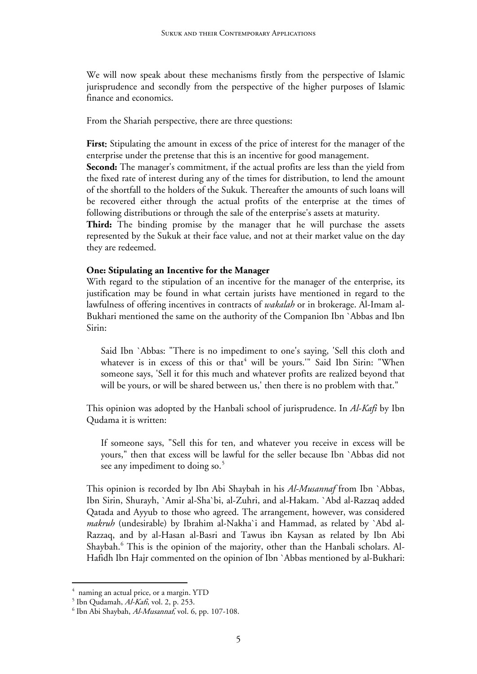We will now speak about these mechanisms firstly from the perspective of Islamic jurisprudence and secondly from the perspective of the higher purposes of Islamic finance and economics.

From the Shariah perspective, there are three questions:

**First**: Stipulating the amount in excess of the price of interest for the manager of the enterprise under the pretense that this is an incentive for good management.

**Second:** The manager's commitment, if the actual profits are less than the yield from the fixed rate of interest during any of the times for distribution, to lend the amount of the shortfall to the holders of the Sukuk. Thereafter the amounts of such loans will be recovered either through the actual profits of the enterprise at the times of following distributions or through the sale of the enterprise's assets at maturity.

**Third:** The binding promise by the manager that he will purchase the assets represented by the Sukuk at their face value, and not at their market value on the day they are redeemed.

#### **One: Stipulating an Incentive for the Manager**

With regard to the stipulation of an incentive for the manager of the enterprise, its justification may be found in what certain jurists have mentioned in regard to the lawfulness of offering incentives in contracts of *wakalah* or in brokerage. Al-Imam al-Bukhari mentioned the same on the authority of the Companion Ibn `Abbas and Ibn Sirin:

Said Ibn `Abbas: "There is no impediment to one's saying, 'Sell this cloth and whatever is in excess of this or that<sup>4</sup> will be yours."" Said Ibn Sirin: "When someone says, 'Sell it for this much and whatever profits are realized beyond that will be yours, or will be shared between us,' then there is no problem with that."

This opinion was adopted by the Hanbali school of jurisprudence. In *Al-Kafi* by Ibn Qudama it is written:

If someone says, "Sell this for ten, and whatever you receive in excess will be yours," then that excess will be lawful for the seller because Ibn `Abbas did not see any impediment to doing so.<sup>[5](#page-4-1)</sup>

This opinion is recorded by Ibn Abi Shaybah in his *Al-Musannaf* from Ibn `Abbas, Ibn Sirin, Shurayh, `Amir al-Sha`bi, al-Zuhri, and al-Hakam. `Abd al-Razzaq added Qatada and Ayyub to those who agreed. The arrangement, however, was considered *makruh* (undesirable) by Ibrahim al-Nakha`i and Hammad, as related by `Abd al-Razzaq, and by al-Hasan al-Basri and Tawus ibn Kaysan as related by Ibn Abi Shaybah.<sup>[6](#page-4-2)</sup> This is the opinion of the majority, other than the Hanbali scholars. Al-Hafidh Ibn Hajr commented on the opinion of Ibn `Abbas mentioned by al-Bukhari:

<span id="page-4-0"></span><sup>&</sup>lt;sup>4</sup> naming an actual price, or a margin. YTD

<sup>&</sup>lt;sup>5</sup> Ibn Qudamah, *Al-Kafi*, vol. 2, p. 253.<br><sup>6</sup> Ibn Abi Shaybab, *Al Musannaf* vol. 6

<span id="page-4-2"></span><span id="page-4-1"></span> $6$  Ibn Abi Shaybah, Al-Musannaf, vol. 6, pp. 107-108.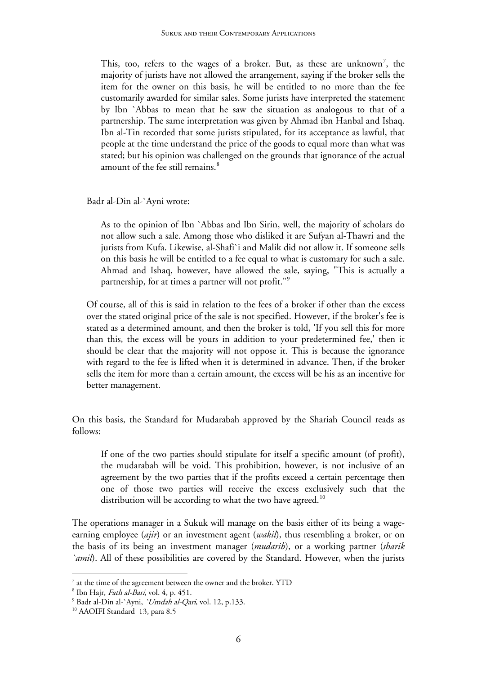This, too, refers to the wages of a broker. But, as these are unknown<sup>[7](#page-5-0)</sup>, the majority of jurists have not allowed the arrangement, saying if the broker sells the item for the owner on this basis, he will be entitled to no more than the fee customarily awarded for similar sales. Some jurists have interpreted the statement by Ibn `Abbas to mean that he saw the situation as analogous to that of a partnership. The same interpretation was given by Ahmad ibn Hanbal and Ishaq. Ibn al-Tin recorded that some jurists stipulated, for its acceptance as lawful, that people at the time understand the price of the goods to equal more than what was stated; but his opinion was challenged on the grounds that ignorance of the actual amount of the fee still remains.<sup>[8](#page-5-1)</sup>

Badr al-Din al-`Ayni wrote:

As to the opinion of Ibn `Abbas and Ibn Sirin, well, the majority of scholars do not allow such a sale. Among those who disliked it are Sufyan al-Thawri and the jurists from Kufa. Likewise, al-Shafi`i and Malik did not allow it. If someone sells on this basis he will be entitled to a fee equal to what is customary for such a sale. Ahmad and Ishaq, however, have allowed the sale, saying, "This is actually a partnership, for at times a partner will not profit."[9](#page-5-2)

Of course, all of this is said in relation to the fees of a broker if other than the excess over the stated original price of the sale is not specified. However, if the broker's fee is stated as a determined amount, and then the broker is told, 'If you sell this for more than this, the excess will be yours in addition to your predetermined fee,' then it should be clear that the majority will not oppose it. This is because the ignorance with regard to the fee is lifted when it is determined in advance. Then, if the broker sells the item for more than a certain amount, the excess will be his as an incentive for better management.

On this basis, the Standard for Mudarabah approved by the Shariah Council reads as follows:

If one of the two parties should stipulate for itself a specific amount (of profit), the mudarabah will be void. This prohibition, however, is not inclusive of an agreement by the two parties that if the profits exceed a certain percentage then one of those two parties will receive the excess exclusively such that the distribution will be according to what the two have agreed.<sup>[10](#page-5-3)</sup>

The operations manager in a Sukuk will manage on the basis either of its being a wageearning employee (*ajir*) or an investment agent (*wakil*), thus resembling a broker, or on the basis of its being an investment manager (*mudarib*), or a working partner (*sharik `amil*). All of these possibilities are covered by the Standard. However, when the jurists

-

<span id="page-5-0"></span> $7$  at the time of the agreement between the owner and the broker. YTD

<sup>&</sup>lt;sup>8</sup> Ibn Hajr, *Fath al-Bari*, vol. 4, p. 451.<br><sup>9</sup> Bedr al Din al Armi *Mondab al Oss* 

<span id="page-5-2"></span><span id="page-5-1"></span><sup>&</sup>lt;sup>9</sup> Badr al-Din al-`Ayni, `*Umdah al-Qari*, vol. 12, p.133.<br><sup>10</sup> AAOIFI Standard 13, para 8.5

<span id="page-5-3"></span>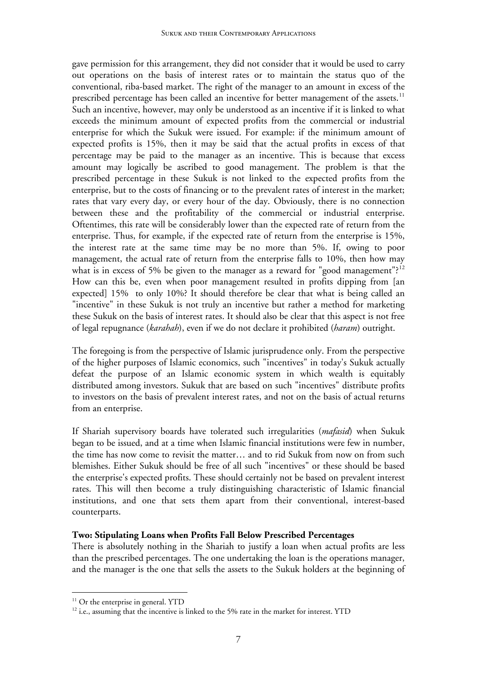gave permission for this arrangement, they did not consider that it would be used to carry out operations on the basis of interest rates or to maintain the status quo of the conventional, riba-based market. The right of the manager to an amount in excess of the prescribed percentage has been called an incentive for better management of the assets.<sup>[11](#page-6-0)</sup> Such an incentive, however, may only be understood as an incentive if it is linked to what exceeds the minimum amount of expected profits from the commercial or industrial enterprise for which the Sukuk were issued. For example: if the minimum amount of expected profits is 15%, then it may be said that the actual profits in excess of that percentage may be paid to the manager as an incentive. This is because that excess amount may logically be ascribed to good management. The problem is that the prescribed percentage in these Sukuk is not linked to the expected profits from the enterprise, but to the costs of financing or to the prevalent rates of interest in the market; rates that vary every day, or every hour of the day. Obviously, there is no connection between these and the profitability of the commercial or industrial enterprise. Oftentimes, this rate will be considerably lower than the expected rate of return from the enterprise. Thus, for example, if the expected rate of return from the enterprise is 15%, the interest rate at the same time may be no more than 5%. If, owing to poor management, the actual rate of return from the enterprise falls to 10%, then how may what is in excess of 5% be given to the manager as a reward for "good management"?<sup>[12](#page-6-1)</sup> How can this be, even when poor management resulted in profits dipping from [an expected] 15% to only 10%? It should therefore be clear that what is being called an "incentive" in these Sukuk is not truly an incentive but rather a method for marketing these Sukuk on the basis of interest rates. It should also be clear that this aspect is not free of legal repugnance (*karahah*), even if we do not declare it prohibited (*haram*) outright.

The foregoing is from the perspective of Islamic jurisprudence only. From the perspective of the higher purposes of Islamic economics, such "incentives" in today's Sukuk actually defeat the purpose of an Islamic economic system in which wealth is equitably distributed among investors. Sukuk that are based on such "incentives" distribute profits to investors on the basis of prevalent interest rates, and not on the basis of actual returns from an enterprise.

If Shariah supervisory boards have tolerated such irregularities (*mafasid*) when Sukuk began to be issued, and at a time when Islamic financial institutions were few in number, the time has now come to revisit the matter… and to rid Sukuk from now on from such blemishes. Either Sukuk should be free of all such "incentives" or these should be based the enterprise's expected profits. These should certainly not be based on prevalent interest rates. This will then become a truly distinguishing characteristic of Islamic financial institutions, and one that sets them apart from their conventional, interest-based counterparts.

## **Two: Stipulating Loans when Profits Fall Below Prescribed Percentages**

There is absolutely nothing in the Shariah to justify a loan when actual profits are less than the prescribed percentages. The one undertaking the loan is the operations manager, and the manager is the one that sells the assets to the Sukuk holders at the beginning of

<span id="page-6-0"></span> $11$  Or the enterprise in general. YTD

<span id="page-6-1"></span> $12$  i.e., assuming that the incentive is linked to the 5% rate in the market for interest. YTD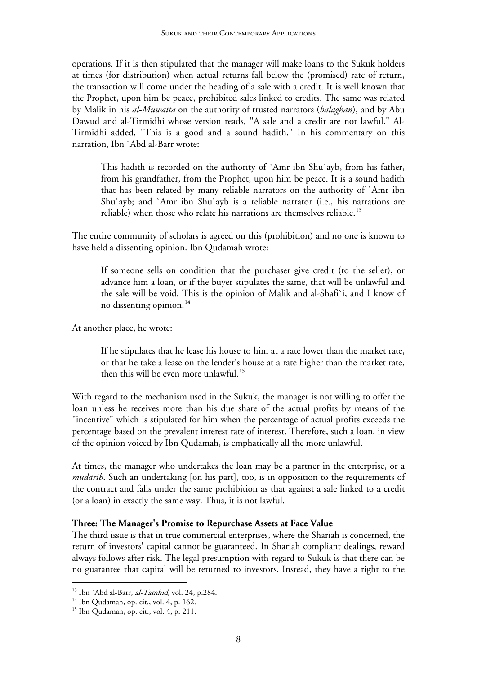operations. If it is then stipulated that the manager will make loans to the Sukuk holders at times (for distribution) when actual returns fall below the (promised) rate of return, the transaction will come under the heading of a sale with a credit. It is well known that the Prophet, upon him be peace, prohibited sales linked to credits. The same was related by Malik in his *al-Muwatta* on the authority of trusted narrators (*balaghan*), and by Abu Dawud and al-Tirmidhi whose version reads, "A sale and a credit are not lawful." Al-Tirmidhi added, "This is a good and a sound hadith." In his commentary on this narration, Ibn `Abd al-Barr wrote:

This hadith is recorded on the authority of `Amr ibn Shu`ayb, from his father, from his grandfather, from the Prophet, upon him be peace. It is a sound hadith that has been related by many reliable narrators on the authority of `Amr ibn Shu`ayb; and `Amr ibn Shu`ayb is a reliable narrator (i.e., his narrations are reliable) when those who relate his narrations are themselves reliable.<sup>[13](#page-7-0)</sup>

The entire community of scholars is agreed on this (prohibition) and no one is known to have held a dissenting opinion. Ibn Qudamah wrote:

If someone sells on condition that the purchaser give credit (to the seller), or advance him a loan, or if the buyer stipulates the same, that will be unlawful and the sale will be void. This is the opinion of Malik and al-Shafi`i, and I know of no dissenting opinion.<sup>[1](#page-7-1)4</sup>

At another place, he wrote:

If he stipulates that he lease his house to him at a rate lower than the market rate, or that he take a lease on the lender's house at a rate higher than the market rate, then this will be even more unlawful.<sup>[1](#page-7-2)5</sup>

With regard to the mechanism used in the Sukuk, the manager is not willing to offer the loan unless he receives more than his due share of the actual profits by means of the "incentive" which is stipulated for him when the percentage of actual profits exceeds the percentage based on the prevalent interest rate of interest. Therefore, such a loan, in view of the opinion voiced by Ibn Qudamah, is emphatically all the more unlawful.

At times, the manager who undertakes the loan may be a partner in the enterprise, or a *mudarib*. Such an undertaking [on his part], too, is in opposition to the requirements of the contract and falls under the same prohibition as that against a sale linked to a credit (or a loan) in exactly the same way. Thus, it is not lawful.

## **Three: The Manager's Promise to Repurchase Assets at Face Value**

The third issue is that in true commercial enterprises, where the Shariah is concerned, the return of investors' capital cannot be guaranteed. In Shariah compliant dealings, reward always follows after risk. The legal presumption with regard to Sukuk is that there can be no guarantee that capital will be returned to investors. Instead, they have a right to the

<span id="page-7-0"></span><sup>&</sup>lt;sup>13</sup> Ibn `Abd al-Barr, *al-Tamhid*, vol. 24, p. 284.<br><sup>14</sup> Ibn Oudamah, op. cit., vol. 4, p. 162.

<span id="page-7-1"></span>

<span id="page-7-2"></span><sup>15</sup> Ibn Qudaman, op. cit., vol. 4, p. 211.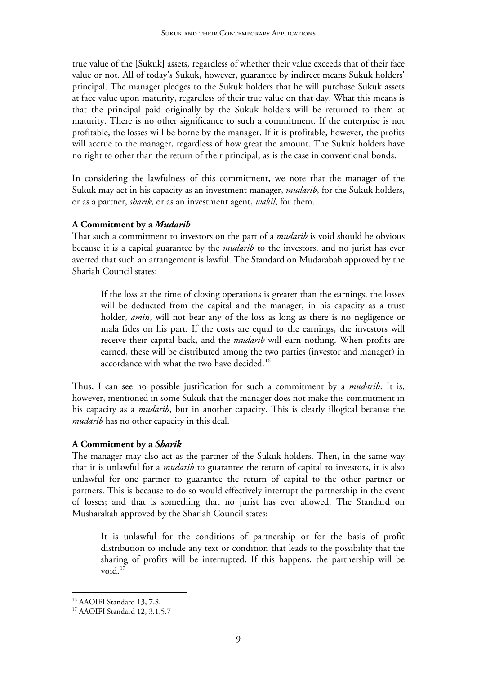true value of the [Sukuk] assets, regardless of whether their value exceeds that of their face value or not. All of today's Sukuk, however, guarantee by indirect means Sukuk holders' principal. The manager pledges to the Sukuk holders that he will purchase Sukuk assets at face value upon maturity, regardless of their true value on that day. What this means is that the principal paid originally by the Sukuk holders will be returned to them at maturity. There is no other significance to such a commitment. If the enterprise is not profitable, the losses will be borne by the manager. If it is profitable, however, the profits will accrue to the manager, regardless of how great the amount. The Sukuk holders have no right to other than the return of their principal, as is the case in conventional bonds.

In considering the lawfulness of this commitment, we note that the manager of the Sukuk may act in his capacity as an investment manager, *mudarib*, for the Sukuk holders, or as a partner, *sharik*, or as an investment agent, *wakil*, for them.

## **A Commitment by a** *Mudarib*

That such a commitment to investors on the part of a *mudarib* is void should be obvious because it is a capital guarantee by the *mudarib* to the investors, and no jurist has ever averred that such an arrangement is lawful. The Standard on Mudarabah approved by the Shariah Council states:

If the loss at the time of closing operations is greater than the earnings, the losses will be deducted from the capital and the manager, in his capacity as a trust holder, *amin*, will not bear any of the loss as long as there is no negligence or mala fides on his part. If the costs are equal to the earnings, the investors will receive their capital back, and the *mudarib* will earn nothing. When profits are earned, these will be distributed among the two parties (investor and manager) in accordance with what the two have decided.<sup>[1](#page-8-0)6</sup>

Thus, I can see no possible justification for such a commitment by a *mudarib*. It is, however, mentioned in some Sukuk that the manager does not make this commitment in his capacity as a *mudarib*, but in another capacity. This is clearly illogical because the *mudarib* has no other capacity in this deal.

## **A Commitment by a** *Sharik*

The manager may also act as the partner of the Sukuk holders. Then, in the same way that it is unlawful for a *mudarib* to guarantee the return of capital to investors, it is also unlawful for one partner to guarantee the return of capital to the other partner or partners. This is because to do so would effectively interrupt the partnership in the event of losses; and that is something that no jurist has ever allowed. The Standard on Musharakah approved by the Shariah Council states:

It is unlawful for the conditions of partnership or for the basis of profit distribution to include any text or condition that leads to the possibility that the sharing of profits will be interrupted. If this happens, the partnership will be void.<sup>[1](#page-8-1)7</sup>

<span id="page-8-0"></span><sup>&</sup>lt;sup>16</sup> AAOIFI Standard 13, 7.8.

<span id="page-8-1"></span><sup>17</sup> AAOIFI Standard 12, 3.1.5.7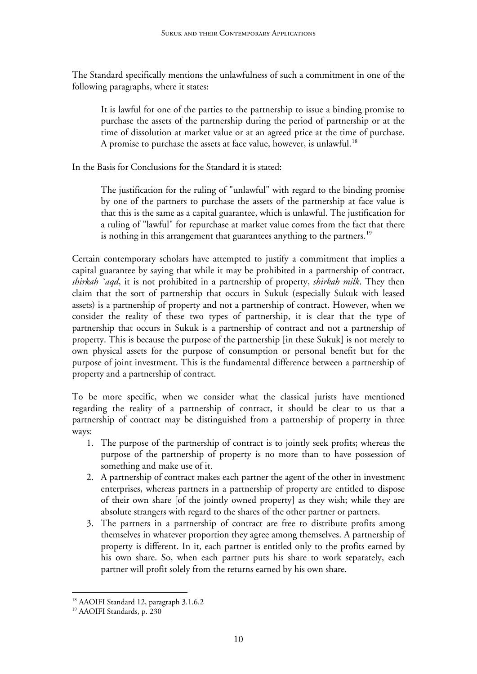The Standard specifically mentions the unlawfulness of such a commitment in one of the following paragraphs, where it states:

It is lawful for one of the parties to the partnership to issue a binding promise to purchase the assets of the partnership during the period of partnership or at the time of dissolution at market value or at an agreed price at the time of purchase. A promise to purchase the assets at face value, however, is unlawful.<sup>[18](#page-9-0)</sup>

In the Basis for Conclusions for the Standard it is stated:

The justification for the ruling of "unlawful" with regard to the binding promise by one of the partners to purchase the assets of the partnership at face value is that this is the same as a capital guarantee, which is unlawful. The justification for a ruling of "lawful" for repurchase at market value comes from the fact that there is nothing in this arrangement that guarantees anything to the partners.<sup>[19](#page-9-1)</sup>

Certain contemporary scholars have attempted to justify a commitment that implies a capital guarantee by saying that while it may be prohibited in a partnership of contract, *shirkah `aqd*, it is not prohibited in a partnership of property, *shirkah milk*. They then claim that the sort of partnership that occurs in Sukuk (especially Sukuk with leased assets) is a partnership of property and not a partnership of contract. However, when we consider the reality of these two types of partnership, it is clear that the type of partnership that occurs in Sukuk is a partnership of contract and not a partnership of property. This is because the purpose of the partnership [in these Sukuk] is not merely to own physical assets for the purpose of consumption or personal benefit but for the purpose of joint investment. This is the fundamental difference between a partnership of property and a partnership of contract.

To be more specific, when we consider what the classical jurists have mentioned regarding the reality of a partnership of contract, it should be clear to us that a partnership of contract may be distinguished from a partnership of property in three ways:

- 1. The purpose of the partnership of contract is to jointly seek profits; whereas the purpose of the partnership of property is no more than to have possession of something and make use of it.
- 2. A partnership of contract makes each partner the agent of the other in investment enterprises, whereas partners in a partnership of property are entitled to dispose of their own share [of the jointly owned property] as they wish; while they are absolute strangers with regard to the shares of the other partner or partners.
- 3. The partners in a partnership of contract are free to distribute profits among themselves in whatever proportion they agree among themselves. A partnership of property is different. In it, each partner is entitled only to the profits earned by his own share. So, when each partner puts his share to work separately, each partner will profit solely from the returns earned by his own share.

<span id="page-9-0"></span><sup>&</sup>lt;sup>18</sup> AAOIFI Standard 12, paragraph 3.1.6.2

<span id="page-9-1"></span><sup>19</sup> AAOIFI Standards, p. 230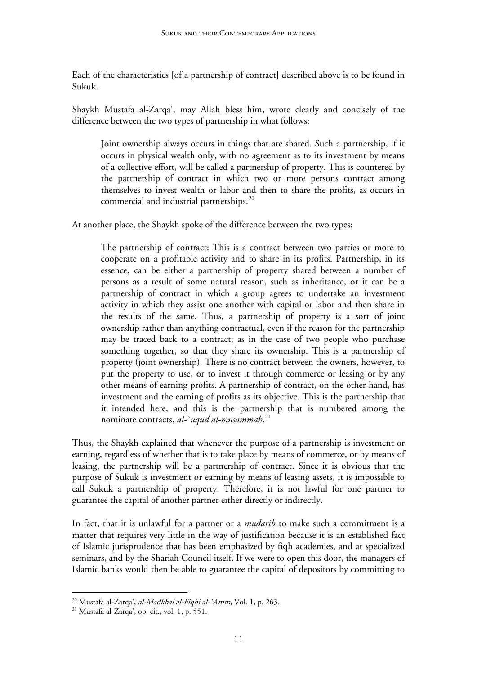Each of the characteristics [of a partnership of contract] described above is to be found in Sukuk.

Shaykh Mustafa al-Zarqa', may Allah bless him, wrote clearly and concisely of the difference between the two types of partnership in what follows:

Joint ownership always occurs in things that are shared. Such a partnership, if it occurs in physical wealth only, with no agreement as to its investment by means of a collective effort, will be called a partnership of property. This is countered by the partnership of contract in which two or more persons contract among themselves to invest wealth or labor and then to share the profits, as occurs in commercial and industrial partnerships.<sup>[20](#page-10-0)</sup>

At another place, the Shaykh spoke of the difference between the two types:

The partnership of contract: This is a contract between two parties or more to cooperate on a profitable activity and to share in its profits. Partnership, in its essence, can be either a partnership of property shared between a number of persons as a result of some natural reason, such as inheritance, or it can be a partnership of contract in which a group agrees to undertake an investment activity in which they assist one another with capital or labor and then share in the results of the same. Thus, a partnership of property is a sort of joint ownership rather than anything contractual, even if the reason for the partnership may be traced back to a contract; as in the case of two people who purchase something together, so that they share its ownership. This is a partnership of property (joint ownership). There is no contract between the owners, however, to put the property to use, or to invest it through commerce or leasing or by any other means of earning profits. A partnership of contract, on the other hand, has investment and the earning of profits as its objective. This is the partnership that it intended here, and this is the partnership that is numbered among the nominate contracts, *al-`uqud al-musammah*. [2](#page-10-1)1

Thus, the Shaykh explained that whenever the purpose of a partnership is investment or earning, regardless of whether that is to take place by means of commerce, or by means of leasing, the partnership will be a partnership of contract. Since it is obvious that the purpose of Sukuk is investment or earning by means of leasing assets, it is impossible to call Sukuk a partnership of property. Therefore, it is not lawful for one partner to guarantee the capital of another partner either directly or indirectly.

In fact, that it is unlawful for a partner or a *mudarib* to make such a commitment is a matter that requires very little in the way of justification because it is an established fact of Islamic jurisprudence that has been emphasized by fiqh academies, and at specialized seminars, and by the Shariah Council itself. If we were to open this door, the managers of Islamic banks would then be able to guarantee the capital of depositors by committing to

<span id="page-10-1"></span><span id="page-10-0"></span><sup>&</sup>lt;sup>20</sup> Mustafa al-Zarqa', *al-Madkhal al-Fiqhi al-`Amm*, Vol. 1, p. 263.<br><sup>21</sup> Mustafa al-Zarqa', op. cit., vol. 1, p. 551.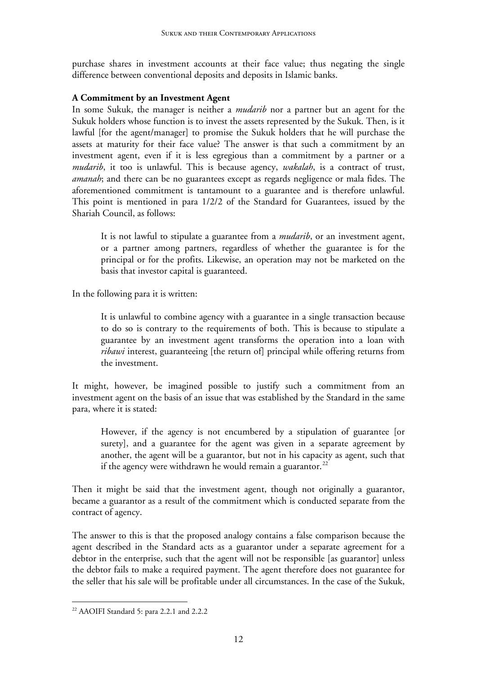purchase shares in investment accounts at their face value; thus negating the single difference between conventional deposits and deposits in Islamic banks.

# **A Commitment by an Investment Agent**

In some Sukuk, the manager is neither a *mudarib* nor a partner but an agent for the Sukuk holders whose function is to invest the assets represented by the Sukuk. Then, is it lawful [for the agent/manager] to promise the Sukuk holders that he will purchase the assets at maturity for their face value? The answer is that such a commitment by an investment agent, even if it is less egregious than a commitment by a partner or a *mudarib*, it too is unlawful. This is because agency, *wakalah*, is a contract of trust, *amanah*; and there can be no guarantees except as regards negligence or mala fides. The aforementioned commitment is tantamount to a guarantee and is therefore unlawful. This point is mentioned in para 1/2/2 of the Standard for Guarantees, issued by the Shariah Council, as follows:

It is not lawful to stipulate a guarantee from a *mudarib*, or an investment agent, or a partner among partners, regardless of whether the guarantee is for the principal or for the profits. Likewise, an operation may not be marketed on the basis that investor capital is guaranteed.

In the following para it is written:

It is unlawful to combine agency with a guarantee in a single transaction because to do so is contrary to the requirements of both. This is because to stipulate a guarantee by an investment agent transforms the operation into a loan with *ribawi* interest, guaranteeing [the return of] principal while offering returns from the investment.

It might, however, be imagined possible to justify such a commitment from an investment agent on the basis of an issue that was established by the Standard in the same para, where it is stated:

However, if the agency is not encumbered by a stipulation of guarantee [or surety], and a guarantee for the agent was given in a separate agreement by another, the agent will be a guarantor, but not in his capacity as agent, such that if the agency were withdrawn he would remain a guarantor.<sup>[2](#page-11-0)2</sup>

Then it might be said that the investment agent, though not originally a guarantor, became a guarantor as a result of the commitment which is conducted separate from the contract of agency.

The answer to this is that the proposed analogy contains a false comparison because the agent described in the Standard acts as a guarantor under a separate agreement for a debtor in the enterprise, such that the agent will not be responsible [as guarantor] unless the debtor fails to make a required payment. The agent therefore does not guarantee for the seller that his sale will be profitable under all circumstances. In the case of the Sukuk,

<span id="page-11-0"></span><sup>22</sup> AAOIFI Standard 5: para 2.2.1 and 2.2.2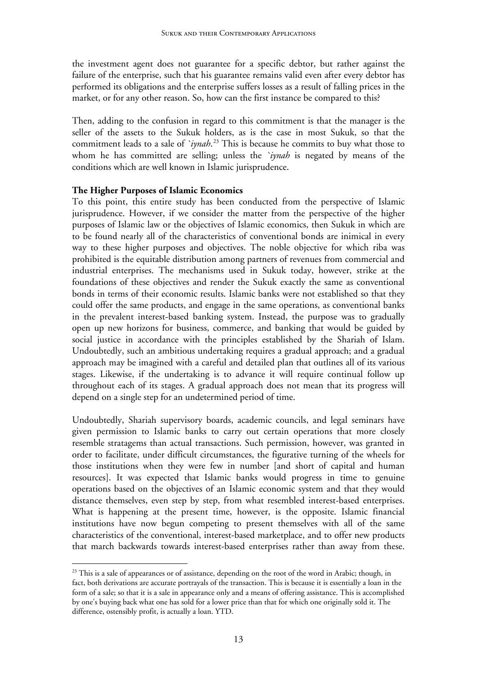the investment agent does not guarantee for a specific debtor, but rather against the failure of the enterprise, such that his guarantee remains valid even after every debtor has performed its obligations and the enterprise suffers losses as a result of falling prices in the market, or for any other reason. So, how can the first instance be compared to this?

Then, adding to the confusion in regard to this commitment is that the manager is the seller of the assets to the Sukuk holders, as is the case in most Sukuk, so that the commitment leads to a sale of *`iynah*. [23](#page-12-0) This is because he commits to buy what those to whom he has committed are selling; unless the *`iynah* is negated by means of the conditions which are well known in Islamic jurisprudence.

#### **The Higher Purposes of Islamic Economics**

-

To this point, this entire study has been conducted from the perspective of Islamic jurisprudence. However, if we consider the matter from the perspective of the higher purposes of Islamic law or the objectives of Islamic economics, then Sukuk in which are to be found nearly all of the characteristics of conventional bonds are inimical in every way to these higher purposes and objectives. The noble objective for which riba was prohibited is the equitable distribution among partners of revenues from commercial and industrial enterprises. The mechanisms used in Sukuk today, however, strike at the foundations of these objectives and render the Sukuk exactly the same as conventional bonds in terms of their economic results. Islamic banks were not established so that they could offer the same products, and engage in the same operations, as conventional banks in the prevalent interest-based banking system. Instead, the purpose was to gradually open up new horizons for business, commerce, and banking that would be guided by social justice in accordance with the principles established by the Shariah of Islam. Undoubtedly, such an ambitious undertaking requires a gradual approach; and a gradual approach may be imagined with a careful and detailed plan that outlines all of its various stages. Likewise, if the undertaking is to advance it will require continual follow up throughout each of its stages. A gradual approach does not mean that its progress will depend on a single step for an undetermined period of time.

Undoubtedly, Shariah supervisory boards, academic councils, and legal seminars have given permission to Islamic banks to carry out certain operations that more closely resemble stratagems than actual transactions. Such permission, however, was granted in order to facilitate, under difficult circumstances, the figurative turning of the wheels for those institutions when they were few in number [and short of capital and human resources]. It was expected that Islamic banks would progress in time to genuine operations based on the objectives of an Islamic economic system and that they would distance themselves, even step by step, from what resembled interest-based enterprises. What is happening at the present time, however, is the opposite. Islamic financial institutions have now begun competing to present themselves with all of the same characteristics of the conventional, interest-based marketplace, and to offer new products that march backwards towards interest-based enterprises rather than away from these.

<span id="page-12-0"></span><sup>&</sup>lt;sup>23</sup> This is a sale of appearances or of assistance, depending on the root of the word in Arabic; though, in fact, both derivations are accurate portrayals of the transaction. This is because it is essentially a loan in the form of a sale; so that it is a sale in appearance only and a means of offering assistance. This is accomplished by one's buying back what one has sold for a lower price than that for which one originally sold it. The difference, ostensibly profit, is actually a loan. YTD.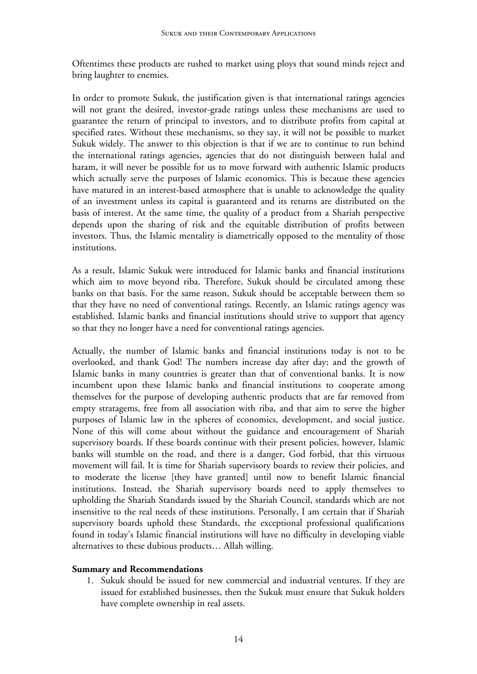Oftentimes these products are rushed to market using ploys that sound minds reject and bring laughter to enemies.

In order to promote Sukuk, the justification given is that international ratings agencies will not grant the desired, investor-grade ratings unless these mechanisms are used to guarantee the return of principal to investors, and to distribute profits from capital at specified rates. Without these mechanisms, so they say, it will not be possible to market Sukuk widely. The answer to this objection is that if we are to continue to run behind the international ratings agencies, agencies that do not distinguish between halal and haram, it will never be possible for us to move forward with authentic Islamic products which actually serve the purposes of Islamic economics. This is because these agencies have matured in an interest-based atmosphere that is unable to acknowledge the quality of an investment unless its capital is guaranteed and its returns are distributed on the basis of interest. At the same time, the quality of a product from a Shariah perspective depends upon the sharing of risk and the equitable distribution of profits between investors. Thus, the Islamic mentality is diametrically opposed to the mentality of those institutions.

As a result, Islamic Sukuk were introduced for Islamic banks and financial institutions which aim to move beyond riba. Therefore, Sukuk should be circulated among these banks on that basis. For the same reason, Sukuk should be acceptable between them so that they have no need of conventional ratings. Recently, an Islamic ratings agency was established. Islamic banks and financial institutions should strive to support that agency so that they no longer have a need for conventional ratings agencies.

Actually, the number of Islamic banks and financial institutions today is not to be overlooked, and thank God! The numbers increase day after day; and the growth of Islamic banks in many countries is greater than that of conventional banks. It is now incumbent upon these Islamic banks and financial institutions to cooperate among themselves for the purpose of developing authentic products that are far removed from empty stratagems, free from all association with riba, and that aim to serve the higher purposes of Islamic law in the spheres of economics, development, and social justice. None of this will come about without the guidance and encouragement of Shariah supervisory boards. If these boards continue with their present policies, however, Islamic banks will stumble on the road, and there is a danger, God forbid, that this virtuous movement will fail. It is time for Shariah supervisory boards to review their policies, and to moderate the license [they have granted] until now to benefit Islamic financial institutions. Instead, the Shariah supervisory boards need to apply themselves to upholding the Shariah Standards issued by the Shariah Council, standards which are not insensitive to the real needs of these institutions. Personally, I am certain that if Shariah supervisory boards uphold these Standards, the exceptional professional qualifications found in today's Islamic financial institutions will have no difficulty in developing viable alternatives to these dubious products… Allah willing.

## **Summary and Recommendations**

1. Sukuk should be issued for new commercial and industrial ventures. If they are issued for established businesses, then the Sukuk must ensure that Sukuk holders have complete ownership in real assets.